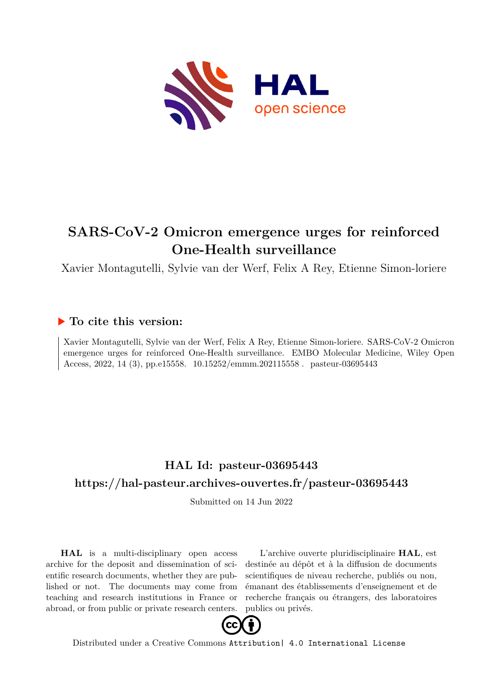

## **SARS-CoV-2 Omicron emergence urges for reinforced One-Health surveillance**

Xavier Montagutelli, Sylvie van der Werf, Felix A Rey, Etienne Simon-loriere

### **To cite this version:**

Xavier Montagutelli, Sylvie van der Werf, Felix A Rey, Etienne Simon-loriere. SARS-CoV-2 Omicron emergence urges for reinforced One-Health surveillance. EMBO Molecular Medicine, Wiley Open Access, 2022, 14 (3), pp.e15558. 10.15252/emmm.202115558 pasteur-03695443

## **HAL Id: pasteur-03695443 <https://hal-pasteur.archives-ouvertes.fr/pasteur-03695443>**

Submitted on 14 Jun 2022

**HAL** is a multi-disciplinary open access archive for the deposit and dissemination of scientific research documents, whether they are published or not. The documents may come from teaching and research institutions in France or abroad, or from public or private research centers.

L'archive ouverte pluridisciplinaire **HAL**, est destinée au dépôt et à la diffusion de documents scientifiques de niveau recherche, publiés ou non, émanant des établissements d'enseignement et de recherche français ou étrangers, des laboratoires publics ou privés.



Distributed under a Creative Commons [Attribution| 4.0 International License](http://creativecommons.org/licenses/by/4.0/)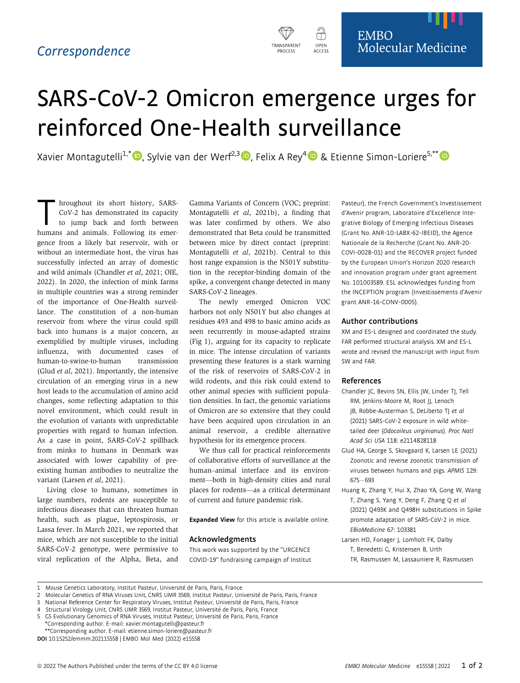

# SARS-CoV-2 Omicron emergence urges for reinforced One-Health surveillance

Xavier Montagutelli<sup>1,[\\*](https://orcid.org/0000-0001-8420-7743)</sup>  $\bullet$ , Sylvie van der Werf<sup>2,3</sup>  $\bullet$ , Felix A Rey<sup>[4](https://orcid.org/0000-0002-9953-7988)</sup>  $\bullet$  & Etienne Simon-Loriere<sup>5,\*\*</sup>  $\bullet$ 

In a hroughout its short history, SARS-<br>CoV-2 has demonstrated its capacity<br>to jump back and forth between<br>humans and animals Following its emer-CoV-2 has demonstrated its capacity to jump back and forth between humans and animals. Following its emergence from a likely bat reservoir, with or without an intermediate host, the virus has successfully infected an array of domestic and wild animals (Chandler et al, 2021; OIE, 2022). In 2020, the infection of mink farms in multiple countries was a strong reminder of the importance of One-Health surveillance. The constitution of a non-human reservoir from where the virus could spill back into humans is a major concern, as exemplified by multiple viruses, including influenza, with documented cases of human-to-swine-to-human transmission (Glud et al, 2021). Importantly, the intensive circulation of an emerging virus in a new host leads to the accumulation of amino acid changes, some reflecting adaptation to this novel environment, which could result in the evolution of variants with unpredictable properties with regard to human infection. As a case in point, SARS-CoV-2 spillback from minks to humans in Denmark was associated with lower capability of preexisting human antibodies to neutralize the variant (Larsen et al, 2021).

Living close to humans, sometimes in large numbers, rodents are susceptible to infectious diseases that can threaten human health, such as plague, leptospirosis, or Lassa fever. In March 2021, we reported that mice, which are not susceptible to the initial SARS-CoV-2 genotype, were permissive to viral replication of the Alpha, Beta, and Gamma Variants of Concern (VOC; preprint: Montagutelli et al, 2021b), a finding that was later confirmed by others. We also demonstrated that Beta could be transmitted between mice by direct contact (preprint: Montagutelli et al, 2021b). Central to this host range expansion is the N501Y substitution in the receptor-binding domain of the spike, a convergent change detected in many SARS-CoV-2 lineages.

The newly emerged Omicron VOC harbors not only N501Y but also changes at residues 493 and 498 to basic amino acids as seen recurrently in mouse-adapted strains (Fig 1), arguing for its capacity to replicate in mice. The intense circulation of variants presenting these features is a stark warning of the risk of reservoirs of SARS-CoV-2 in wild rodents, and this risk could extend to other animal species with sufficient population densities. In fact, the genomic variations of Omicron are so extensive that they could have been acquired upon circulation in an animal reservoir, a credible alternative hypothesis for its emergence process.

We thus call for practical reinforcements of collaborative efforts of surveillance at the human–animal interface and its environment—both in high-density cities and rural places for rodents—as a critical determinant of current and future pandemic risk.

Expanded View for this article is available [online](https://doi.org/10.15252/emmm.202115558).

#### Acknowledgments

This work was supported by the "URGENCE COVID-19" fundraising campaign of Institut Pasteur), the French Government's Investissement d'Avenir program, Laboratoire d'Excellence Integrative Biology of Emerging Infectious Diseases (Grant No. ANR-10-LABX-62-IBEID), the Agence Nationale de la Recherche (Grant No. ANR-20- COVI-0028-01) and the RECOVER project funded by the European Union's Horizon 2020 research and innovation program under grant agreement No. 101003589. ESL acknowledges funding from the INCEPTION program (Investissements d'Avenir grant ANR-16-CONV-0005).

#### Author contributions

XM and ES-L designed and coordinated the study. FAR performed structural analysis. XM and ES-L wrote and revised the manuscript with input from SW and FAR.

#### References

- Chandler JC, Bevins SN, Ellis JW, Linder TJ, Tell RM, Jenkins-Moore M, Root JJ, Lenoch JB, Robbe-Austerman S, DeLiberto TJ et al (2021) SARS-CoV-2 exposure in wild whitetailed deer (Odocoileus virginianus). Proc Natl Acad Sci USA 118: e2114828118
- Glud HA, George S, Skovgaard K, Larsen LE (2021) Zoonotic and reverse zoonotic transmission of viruses between humans and pigs. APMIS 129: 675 – 693
- Huang K, Zhang Y, Hui X, Zhao YA, Gong W, Wang T, Zhang S, Yang Y, Deng F, Zhang Q et al (2021) Q493K and Q498H substitutions in Spike promote adaptation of SARS-CoV-2 in mice. EBioMedicine 67: 103381
- Larsen HD, Fonager J, Lomholt FK, Dalby T, Benedetti G, Kristensen B, Urth TR, Rasmussen M, Lassauniere R, Rasmussen

<sup>1</sup> Mouse Genetics Laboratory, Institut Pasteur, Université de Paris, Paris, France

<sup>2</sup> Molecular Genetics of RNA Viruses Unit, CNRS UMR 3569, Institut Pasteur, Universite de Paris, Paris, France

<sup>3</sup> National Reference Center for Respiratory Viruses, Institut Pasteur, Universite de Paris, Paris, France

Structural Virology Unit, CNRS UMR 3569, Institut Pasteur, Université de Paris, Paris, France

<sup>5</sup> G5 Evolutionary Genomics of RNA Viruses, Institut Pasteur, Universite de Paris, Paris, France \*Corresponding author. E-mail: xavier.montagutelli@pasteur.fr

<sup>\*\*</sup>Corresponding author. E-mail: etienne.simon-loriere@pasteur.fr

DOI 10.15252/emmm.202115558 | EMBO Mol Med (2022) e15558